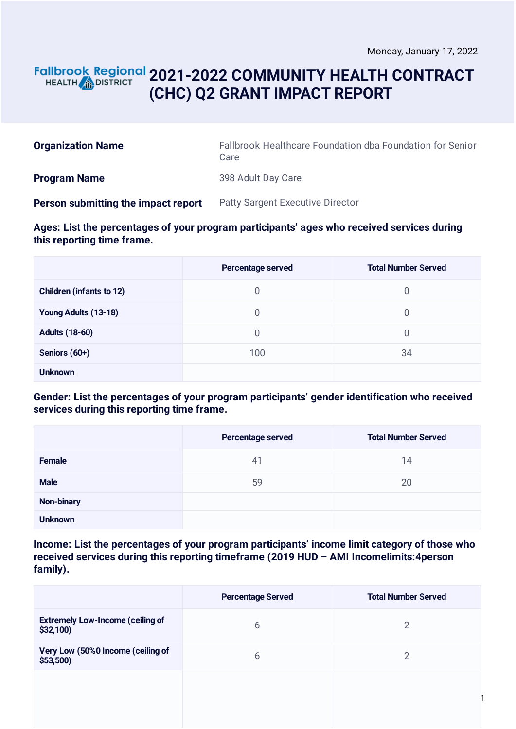### **2021-2022 COMMUNITY HEALTH CONTRACT** HEALTH **AND DISTRICT (CHC) Q2 GRANT IMPACT REPORT**

| <b>Organization Name</b>            | Fallbrook Healthcare Foundation dba Foundation for Senior<br>Care |
|-------------------------------------|-------------------------------------------------------------------|
| <b>Program Name</b>                 | 398 Adult Day Care                                                |
| Person submitting the impact report | <b>Patty Sargent Executive Director</b>                           |

#### **Ages: List the percentages of your program participants' ages who received services during this reporting time frame.**

|                                 | Percentage served | <b>Total Number Served</b> |
|---------------------------------|-------------------|----------------------------|
| <b>Children (infants to 12)</b> | $\overline{0}$    | 0                          |
| Young Adults (13-18)            | 0                 | 0                          |
| <b>Adults (18-60)</b>           | $\overline{0}$    | 0                          |
| Seniors (60+)                   | 100               | 34                         |
| <b>Unknown</b>                  |                   |                            |

#### **Gender: List the percentages of your program participants' gender identification who received services during this reporting time frame.**

|                   | Percentage served | <b>Total Number Served</b> |
|-------------------|-------------------|----------------------------|
| <b>Female</b>     | 41                | 14                         |
| <b>Male</b>       | 59                | 20                         |
| <b>Non-binary</b> |                   |                            |
| <b>Unknown</b>    |                   |                            |

**Income: List the percentages of your program participants' income limit category of those who received services during this reporting timeframe (2019 HUD – AMI Incomelimits:4person family).**

|                                                        | <b>Percentage Served</b> | <b>Total Number Served</b> |
|--------------------------------------------------------|--------------------------|----------------------------|
| <b>Extremely Low-Income (ceiling of</b><br>$$32,100$ ) | 6                        | $\overline{2}$             |
| Very Low (50%0 Income (ceiling of<br>$$53,500$ )       | 6                        | 2                          |
|                                                        |                          |                            |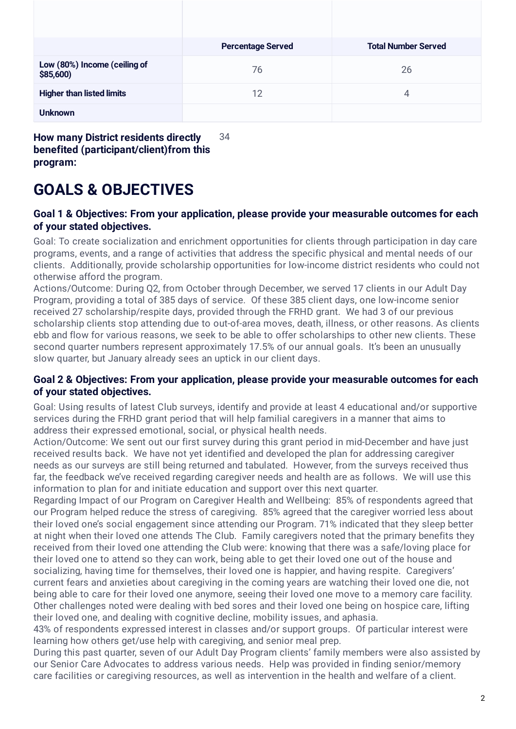|                                           | <b>Percentage Served</b> | <b>Total Number Served</b> |
|-------------------------------------------|--------------------------|----------------------------|
| Low (80%) Income (ceiling of<br>\$85,600) | 76                       | 26                         |
| <b>Higher than listed limits</b>          | 12                       | 4                          |
| <b>Unknown</b>                            |                          |                            |
|                                           |                          |                            |

**How many District residents directly benefited (participant/client)from this program:** 34

# **GOALS & OBJECTIVES**

#### **Goal 1 & Objectives: From your application, please provide your measurable outcomes for each of your stated objectives.**

Goal: To create socialization and enrichment opportunities for clients through participation in day care programs, events, and a range of activities that address the specific physical and mental needs of our clients. Additionally, provide scholarship opportunities for low-income district residents who could not otherwise afford the program.

Actions/Outcome: During Q2, from October through December, we served 17 clients in our Adult Day Program, providing a total of 385 days of service. Of these 385 client days, one low-income senior received 27 scholarship/respite days, provided through the FRHD grant. We had 3 of our previous scholarship clients stop attending due to out-of-area moves, death, illness, or other reasons. As clients ebb and flow for various reasons, we seek to be able to offer scholarships to other new clients. These second quarter numbers represent approximately 17.5% of our annual goals. It's been an unusually slow quarter, but January already sees an uptick in our client days.

#### **Goal 2 & Objectives: From your application, please provide your measurable outcomes for each of your stated objectives.**

Goal: Using results of latest Club surveys, identify and provide at least 4 educational and/or supportive services during the FRHD grant period that will help familial caregivers in a manner that aims to address their expressed emotional, social, or physical health needs.

Action/Outcome: We sent out our first survey during this grant period in mid-December and have just received results back. We have not yet identified and developed the plan for addressing caregiver needs as our surveys are still being returned and tabulated. However, from the surveys received thus far, the feedback we've received regarding caregiver needs and health are as follows. We will use this information to plan for and initiate education and support over this next quarter.

Regarding Impact of our Program on Caregiver Health and Wellbeing: 85% of respondents agreed that our Program helped reduce the stress of caregiving. 85% agreed that the caregiver worried less about their loved one's social engagement since attending our Program. 71% indicated that they sleep better at night when their loved one attends The Club. Family caregivers noted that the primary benefits they received from their loved one attending the Club were: knowing that there was a safe/loving place for their loved one to attend so they can work, being able to get their loved one out of the house and socializing, having time for themselves, their loved one is happier, and having respite. Caregivers' current fears and anxieties about caregiving in the coming years are watching their loved one die, not being able to care for their loved one anymore, seeing their loved one move to a memory care facility. Other challenges noted were dealing with bed sores and their loved one being on hospice care, lifting their loved one, and dealing with cognitive decline, mobility issues, and aphasia.

43% of respondents expressed interest in classes and/or support groups. Of particular interest were learning how others get/use help with caregiving, and senior meal prep.

During this past quarter, seven of our Adult Day Program clients' family members were also assisted by our Senior Care Advocates to address various needs. Help was provided in finding senior/memory care facilities or caregiving resources, as well as intervention in the health and welfare of a client.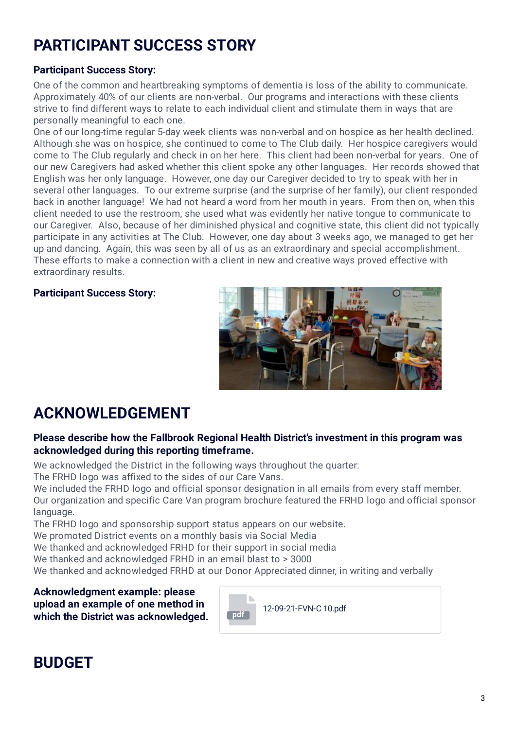# **PARTICIPANT SUCCESS STORY**

#### **Participant Success Story:**

One of the common and heartbreaking symptoms of dementia is loss of the ability to communicate. Approximately 40% of our clients are non-verbal. Our programs and interactions with these clients strive to find different ways to relate to each individual client and stimulate them in ways that are personally meaningful to each one.

One of our long-time regular 5-day week clients was non-verbal and on hospice as her health declined. Although she was on hospice, she continued to come to The Club daily. Her hospice caregivers would come to The Club regularly and check in on her here. This client had been non-verbal for years. One of our new Caregivers had asked whether this client spoke any other languages. Her records showed that English was her only language. However, one day our Caregiver decided to try to speak with her in several other languages. To our extreme surprise (and the surprise of her family), our client responded back in another language! We had not heard a word from her mouth in years. From then on, when this client needed to use the restroom, she used what was evidently her native tongue to communicate to our Caregiver. Also, because of her diminished physical and cognitive state, this client did not typically participate in any activities at The Club. However, one day about 3 weeks ago, we managed to get her up and dancing. Again, this was seen by all of us as an extraordinary and special accomplishment. These efforts to make a connection with a client in new and creative ways proved effective with extraordinary results.

#### **Participant Success Story:**



## **ACKNOWLEDGEMENT**

#### **Please describe how the Fallbrook Regional Health District's investment in this program was acknowledged during this reporting timeframe.**

We acknowledged the District in the following ways throughout the quarter:

The FRHD logo was affixed to the sides of our Care Vans.

We included the FRHD logo and official sponsor designation in all emails from every staff member. Our organization and specific Care Van program brochure featured the FRHD logo and official sponsor language.

The FRHD logo and sponsorship support status appears on our website.

We promoted District events on a monthly basis via Social Media

We thanked and acknowledged FRHD for their support in social media

We thanked and acknowledged FRHD in an email blast to > 3000

We thanked and acknowledged FRHD at our Donor Appreciated dinner, in writing and verbally

**Acknowledgment example: please upload an example of one method in which the District was acknowledged. pdf**



## **BUDGET**